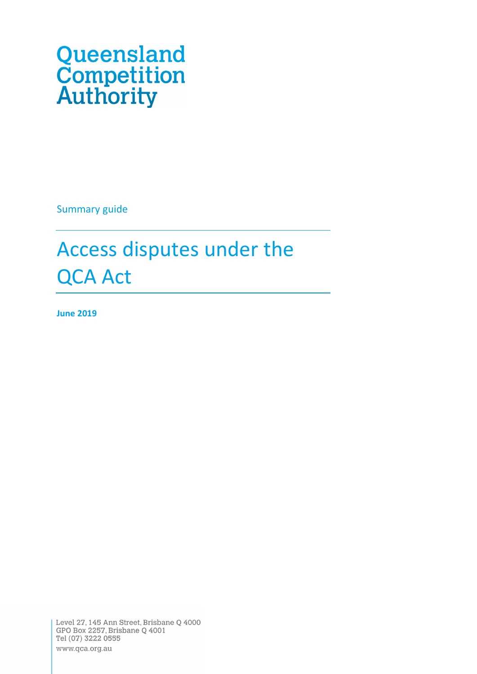# Queensland<br>Competition<br>Authority

Summary guide

# Access disputes under the QCA Act

**June 2019**

Level 27, 145 Ann Street, Brisbane Q 4000 GPO Box 2257, Brisbane Q 4001 Tel (07) 3222 0555 www.qca.org.au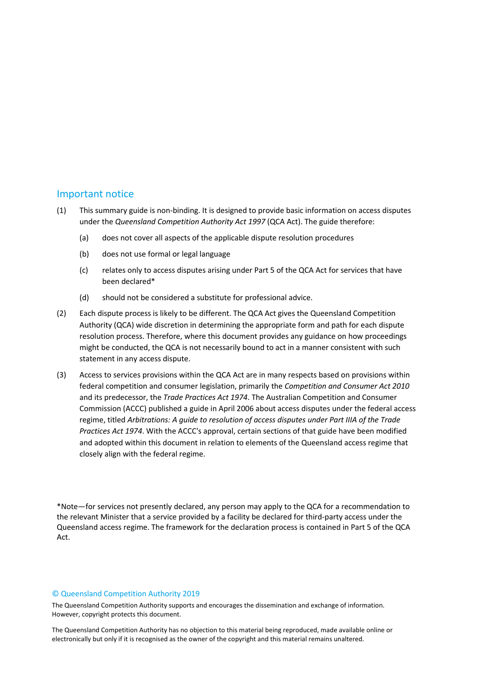#### Important notice

- (1) This summary guide is non-binding. It is designed to provide basic information on access disputes under the *Queensland Competition Authority Act 1997* (QCA Act). The guide therefore:
	- (a) does not cover all aspects of the applicable dispute resolution procedures
	- (b) does not use formal or legal language
	- (c) relates only to access disputes arising under Part 5 of the QCA Act for services that have been declared\*
	- (d) should not be considered a substitute for professional advice.
- (2) Each dispute process is likely to be different. The QCA Act gives the Queensland Competition Authority (QCA) wide discretion in determining the appropriate form and path for each dispute resolution process. Therefore, where this document provides any guidance on how proceedings might be conducted, the QCA is not necessarily bound to act in a manner consistent with such statement in any access dispute.
- (3) Access to services provisions within the QCA Act are in many respects based on provisions within federal competition and consumer legislation, primarily the *Competition and Consumer Act 2010* and its predecessor, the *Trade Practices Act 1974*. The Australian Competition and Consumer Commission (ACCC) published a guide in April 2006 about access disputes under the federal access regime, titled *Arbitrations: A guide to resolution of access disputes under Part IIIA of the Trade Practices Act 1974*. With the ACCC's approval, certain sections of that guide have been modified and adopted within this document in relation to elements of the Queensland access regime that closely align with the federal regime.

\*Note—for services not presently declared, any person may apply to the QCA for a recommendation to the relevant Minister that a service provided by a facility be declared for third-party access under the Queensland access regime. The framework for the declaration process is contained in Part 5 of the QCA Act.

#### © Queensland Competition Authority 2019

The Queensland Competition Authority supports and encourages the dissemination and exchange of information. However, copyright protects this document.

The Queensland Competition Authority has no objection to this material being reproduced, made available online or electronically but only if it is recognised as the owner of the copyright and this material remains unaltered.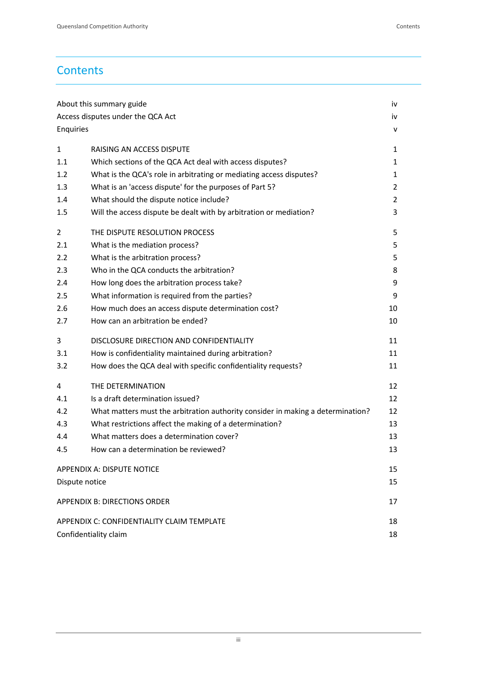# **Contents**

| About this summary guide                   |                                                                                 |                |  |  |
|--------------------------------------------|---------------------------------------------------------------------------------|----------------|--|--|
| Access disputes under the QCA Act          |                                                                                 |                |  |  |
| Enquiries                                  |                                                                                 | v              |  |  |
| $\mathbf{1}$                               | RAISING AN ACCESS DISPUTE                                                       | 1              |  |  |
| 1.1                                        | Which sections of the QCA Act deal with access disputes?                        | 1              |  |  |
| 1.2                                        | What is the QCA's role in arbitrating or mediating access disputes?             | 1              |  |  |
| 1.3                                        | What is an 'access dispute' for the purposes of Part 5?                         | $\overline{2}$ |  |  |
| 1.4                                        | What should the dispute notice include?                                         |                |  |  |
| 1.5                                        | Will the access dispute be dealt with by arbitration or mediation?              | 3              |  |  |
| 2                                          | THE DISPUTE RESOLUTION PROCESS                                                  | 5              |  |  |
| 2.1                                        | What is the mediation process?                                                  | 5              |  |  |
| 2.2                                        | What is the arbitration process?                                                |                |  |  |
| 2.3                                        | Who in the QCA conducts the arbitration?                                        | 8              |  |  |
| 2.4                                        | How long does the arbitration process take?                                     | 9              |  |  |
| 2.5                                        | What information is required from the parties?                                  | 9              |  |  |
| 2.6                                        | How much does an access dispute determination cost?                             | 10             |  |  |
| 2.7                                        | How can an arbitration be ended?                                                | 10             |  |  |
| 3                                          | DISCLOSURE DIRECTION AND CONFIDENTIALITY                                        | 11             |  |  |
| 3.1                                        | How is confidentiality maintained during arbitration?                           | 11             |  |  |
| 3.2                                        | How does the QCA deal with specific confidentiality requests?                   | 11             |  |  |
| 4                                          | THE DETERMINATION                                                               | 12             |  |  |
| 4.1                                        | Is a draft determination issued?                                                | 12             |  |  |
| 4.2                                        | What matters must the arbitration authority consider in making a determination? | 12             |  |  |
| 4.3                                        | What restrictions affect the making of a determination?                         | 13             |  |  |
| 4.4                                        | What matters does a determination cover?                                        | 13             |  |  |
| 4.5                                        | How can a determination be reviewed?                                            | 13             |  |  |
| <b>APPENDIX A: DISPUTE NOTICE</b>          |                                                                                 |                |  |  |
| Dispute notice                             |                                                                                 |                |  |  |
| <b>APPENDIX B: DIRECTIONS ORDER</b>        |                                                                                 |                |  |  |
| APPENDIX C: CONFIDENTIALITY CLAIM TEMPLATE |                                                                                 |                |  |  |
| Confidentiality claim                      |                                                                                 |                |  |  |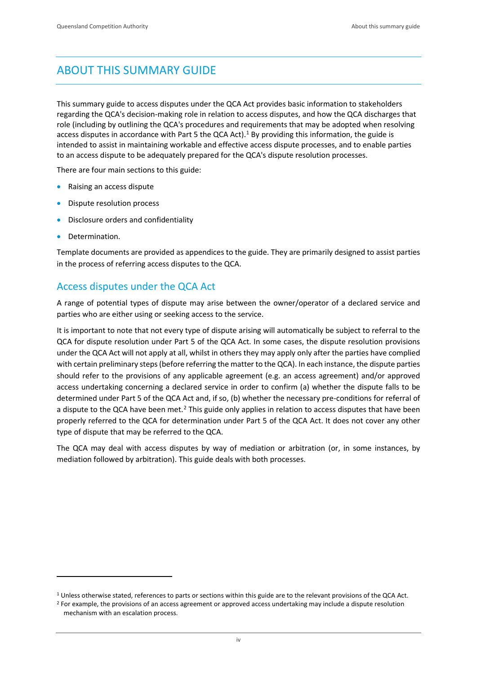# <span id="page-3-0"></span>ABOUT THIS SUMMARY GUIDE

This summary guide to access disputes under the QCA Act provides basic information to stakeholders regarding the QCA's decision-making role in relation to access disputes, and how the QCA discharges that role (including by outlining the QCA's procedures and requirements that may be adopted when resolving access disputes in accordance with Part 5 the QCA Act).<sup>[1](#page-3-2)</sup> By providing this information, the guide is intended to assist in maintaining workable and effective access dispute processes, and to enable parties to an access dispute to be adequately prepared for the QCA's dispute resolution processes.

There are four main sections to this guide:

- Raising an access dispute
- Dispute resolution process
- Disclosure orders and confidentiality
- Determination.

-

Template documents are provided as appendices to the guide. They are primarily designed to assist parties in the process of referring access disputes to the QCA.

# <span id="page-3-1"></span>Access disputes under the QCA Act

A range of potential types of dispute may arise between the owner/operator of a declared service and parties who are either using or seeking access to the service.

It is important to note that not every type of dispute arising will automatically be subject to referral to the QCA for dispute resolution under Part 5 of the QCA Act. In some cases, the dispute resolution provisions under the QCA Act will not apply at all, whilst in others they may apply only after the parties have complied with certain preliminary steps (before referring the matter to the QCA). In each instance, the dispute parties should refer to the provisions of any applicable agreement (e.g. an access agreement) and/or approved access undertaking concerning a declared service in order to confirm (a) whether the dispute falls to be determined under Part 5 of the QCA Act and, if so, (b) whether the necessary pre-conditions for referral of a dispute to the QCA have been met.<sup>[2](#page-3-3)</sup> This guide only applies in relation to access disputes that have been properly referred to the QCA for determination under Part 5 of the QCA Act. It does not cover any other type of dispute that may be referred to the QCA.

The QCA may deal with access disputes by way of mediation or arbitration (or, in some instances, by mediation followed by arbitration). This guide deals with both processes.

<span id="page-3-3"></span><span id="page-3-2"></span><sup>&</sup>lt;sup>1</sup> Unless otherwise stated, references to parts or sections within this guide are to the relevant provisions of the QCA Act.<br><sup>2</sup> For example, the provisions of an access agreement or approved access undertaking may inclu

mechanism with an escalation process.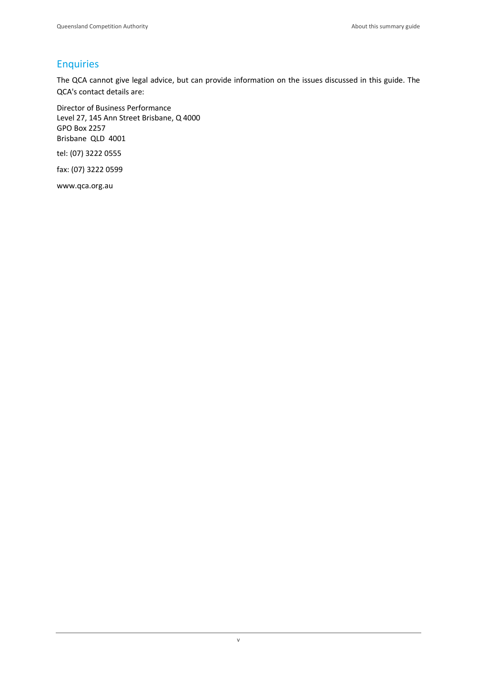# <span id="page-4-0"></span>**Enquiries**

The QCA cannot give legal advice, but can provide information on the issues discussed in this guide. The QCA's contact details are:

Director of Business Performance Level 27, 145 Ann Street Brisbane, Q 4000 GPO Box 2257 Brisbane QLD 4001

tel: (07) 3222 0555

fax: (07) 3222 0599

www.qca.org.au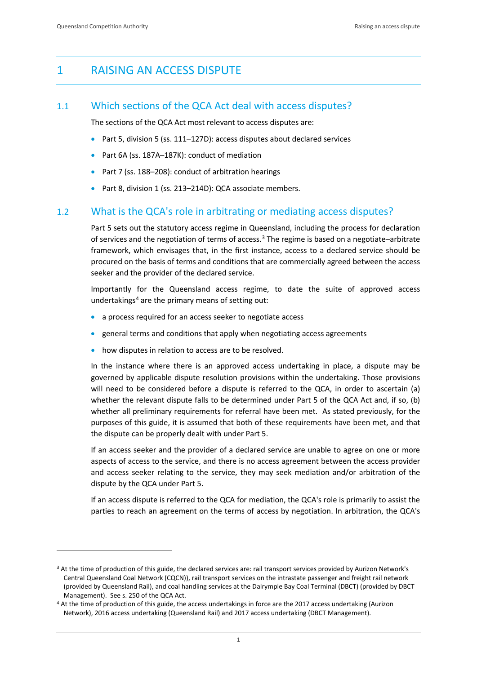-

# <span id="page-5-0"></span>1 RAISING AN ACCESS DISPUTE

# <span id="page-5-1"></span>1.1 Which sections of the QCA Act deal with access disputes?

The sections of the QCA Act most relevant to access disputes are:

- Part 5, division 5 (ss. 111–127D): access disputes about declared services
- Part 6A (ss. 187A–187K): conduct of mediation
- Part 7 (ss. 188–208): conduct of arbitration hearings
- Part 8, division 1 (ss. 213–214D): QCA associate members.

# <span id="page-5-2"></span>1.2 What is the QCA's role in arbitrating or mediating access disputes?

Part 5 sets out the statutory access regime in Queensland, including the process for declaration of services and the negotiation of terms of access.[3](#page-5-3) The regime is based on a negotiate–arbitrate framework, which envisages that, in the first instance, access to a declared service should be procured on the basis of terms and conditions that are commercially agreed between the access seeker and the provider of the declared service.

Importantly for the Queensland access regime, to date the suite of approved access undertakings<sup>[4](#page-5-4)</sup> are the primary means of setting out:

- a process required for an access seeker to negotiate access
- general terms and conditions that apply when negotiating access agreements
- how disputes in relation to access are to be resolved.

In the instance where there is an approved access undertaking in place, a dispute may be governed by applicable dispute resolution provisions within the undertaking. Those provisions will need to be considered before a dispute is referred to the QCA, in order to ascertain (a) whether the relevant dispute falls to be determined under Part 5 of the QCA Act and, if so, (b) whether all preliminary requirements for referral have been met. As stated previously, for the purposes of this guide, it is assumed that both of these requirements have been met, and that the dispute can be properly dealt with under Part 5.

If an access seeker and the provider of a declared service are unable to agree on one or more aspects of access to the service, and there is no access agreement between the access provider and access seeker relating to the service, they may seek mediation and/or arbitration of the dispute by the QCA under Part 5.

If an access dispute is referred to the QCA for mediation, the QCA's role is primarily to assist the parties to reach an agreement on the terms of access by negotiation. In arbitration, the QCA's

<span id="page-5-3"></span><sup>&</sup>lt;sup>3</sup> At the time of production of this guide, the declared services are: rail transport services provided by Aurizon Network's Central Queensland Coal Network (CQCN)), rail transport services on the intrastate passenger and freight rail network (provided by Queensland Rail), and coal handling services at the Dalrymple Bay Coal Terminal (DBCT) (provided by DBCT

<span id="page-5-4"></span>Management). See s. 250 of the QCA Act.<br><sup>4</sup> At the time of production of this guide, the access undertakings in force are the 2017 access undertaking (Aurizon Network), 2016 access undertaking (Queensland Rail) and 2017 access undertaking (DBCT Management).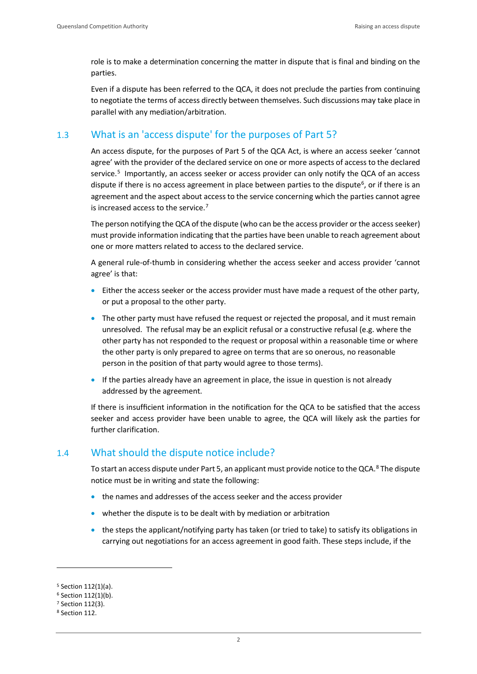role is to make a determination concerning the matter in dispute that is final and binding on the parties.

Even if a dispute has been referred to the QCA, it does not preclude the parties from continuing to negotiate the terms of access directly between themselves. Such discussions may take place in parallel with any mediation/arbitration.

# <span id="page-6-0"></span>1.3 What is an 'access dispute' for the purposes of Part 5?

An access dispute, for the purposes of Part 5 of the QCA Act, is where an access seeker 'cannot agree' with the provider of the declared service on one or more aspects of access to the declared service.<sup>[5](#page-6-2)</sup> Importantly, an access seeker or access provider can only notify the QCA of an access dispute if there is no access agreement in place between parties to the dispute<sup>[6](#page-6-3)</sup>, or if there is an agreement and the aspect about access to the service concerning which the parties cannot agree is increased access to the service.<sup>[7](#page-6-4)</sup>

The person notifying the QCA of the dispute (who can be the access provider or the access seeker) must provide information indicating that the parties have been unable to reach agreement about one or more matters related to access to the declared service.

A general rule-of-thumb in considering whether the access seeker and access provider 'cannot agree' is that:

- Either the access seeker or the access provider must have made a request of the other party, or put a proposal to the other party.
- The other party must have refused the request or rejected the proposal, and it must remain unresolved. The refusal may be an explicit refusal or a constructive refusal (e.g. where the other party has not responded to the request or proposal within a reasonable time or where the other party is only prepared to agree on terms that are so onerous, no reasonable person in the position of that party would agree to those terms).
- If the parties already have an agreement in place, the issue in question is not already addressed by the agreement.

If there is insufficient information in the notification for the QCA to be satisfied that the access seeker and access provider have been unable to agree, the QCA will likely ask the parties for further clarification.

# <span id="page-6-1"></span>1.4 What should the dispute notice include?

To start an access dispute under Part 5, an applicant must provide notice to the QCA.<sup>[8](#page-6-5)</sup> The dispute notice must be in writing and state the following:

- the names and addresses of the access seeker and the access provider
- whether the dispute is to be dealt with by mediation or arbitration
- the steps the applicant/notifying party has taken (or tried to take) to satisfy its obligations in carrying out negotiations for an access agreement in good faith. These steps include, if the

<span id="page-6-2"></span><sup>5</sup> Section 112(1)(a).

<span id="page-6-3"></span> $6$  Section 112(1)(b).

<span id="page-6-4"></span><sup>7</sup> Section 112(3).

<span id="page-6-5"></span><sup>8</sup> Section 112.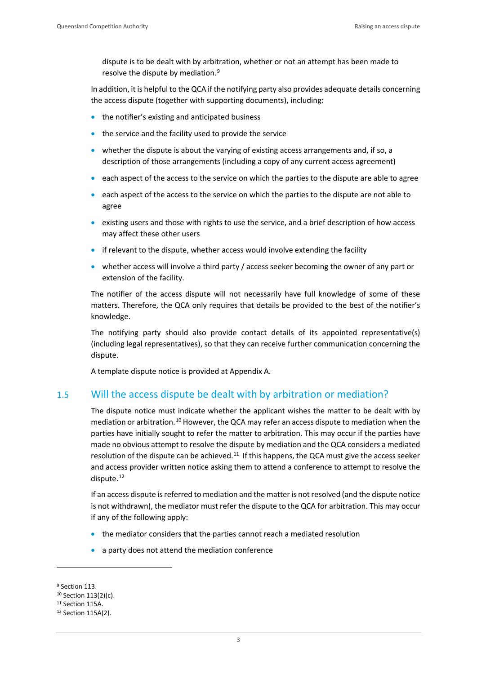dispute is to be dealt with by arbitration, whether or not an attempt has been made to resolve the dispute by mediation.[9](#page-7-1)

In addition, it is helpful to the QCA if the notifying party also provides adequate details concerning the access dispute (together with supporting documents), including:

- the notifier's existing and anticipated business
- the service and the facility used to provide the service
- whether the dispute is about the varying of existing access arrangements and, if so, a description of those arrangements (including a copy of any current access agreement)
- each aspect of the access to the service on which the parties to the dispute are able to agree
- each aspect of the access to the service on which the parties to the dispute are not able to agree
- existing users and those with rights to use the service, and a brief description of how access may affect these other users
- if relevant to the dispute, whether access would involve extending the facility
- whether access will involve a third party / access seeker becoming the owner of any part or extension of the facility.

The notifier of the access dispute will not necessarily have full knowledge of some of these matters. Therefore, the QCA only requires that details be provided to the best of the notifier's knowledge.

The notifying party should also provide contact details of its appointed representative(s) (including legal representatives), so that they can receive further communication concerning the dispute.

A template dispute notice is provided at Appendix A.

# <span id="page-7-0"></span>1.5 Will the access dispute be dealt with by arbitration or mediation?

The dispute notice must indicate whether the applicant wishes the matter to be dealt with by mediation or arbitration.<sup>[10](#page-7-2)</sup> However, the QCA may refer an access dispute to mediation when the parties have initially sought to refer the matter to arbitration. This may occur if the parties have made no obvious attempt to resolve the dispute by mediation and the QCA considers a mediated resolution of the dispute can be achieved.<sup>11</sup> If this happens, the QCA must give the access seeker and access provider written notice asking them to attend a conference to attempt to resolve the dispute.<sup>[12](#page-7-4)</sup>

If an access dispute is referred to mediation and the matter is not resolved (and the dispute notice is not withdrawn), the mediator must refer the dispute to the QCA for arbitration. This may occur if any of the following apply:

- the mediator considers that the parties cannot reach a mediated resolution
- a party does not attend the mediation conference

<span id="page-7-1"></span><sup>&</sup>lt;sup>9</sup> Section 113.

<span id="page-7-2"></span><sup>10</sup> Section 113(2)(c).

<span id="page-7-3"></span><sup>&</sup>lt;sup>11</sup> Section 115A.

<span id="page-7-4"></span><sup>12</sup> Section 115A(2).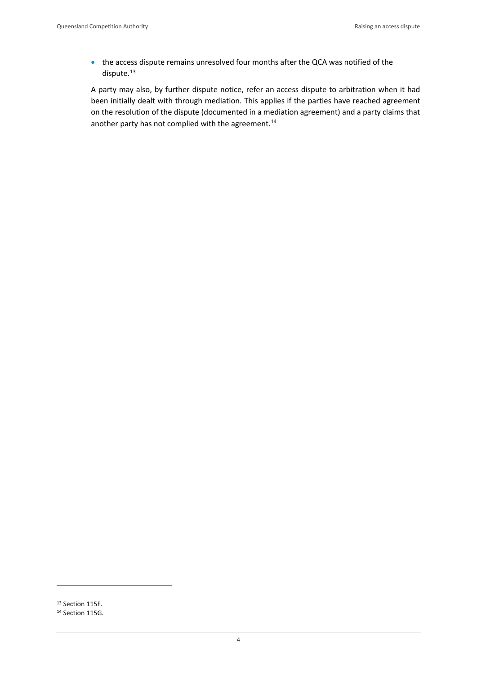• the access dispute remains unresolved four months after the QCA was notified of the dispute.<sup>13</sup>

A party may also, by further dispute notice, refer an access dispute to arbitration when it had been initially dealt with through mediation. This applies if the parties have reached agreement on the resolution of the dispute (documented in a mediation agreement) and a party claims that another party has not complied with the agreement.<sup>[14](#page-8-1)</sup>

<span id="page-8-0"></span><sup>13</sup> Section 115F.

<span id="page-8-1"></span><sup>14</sup> Section 115G.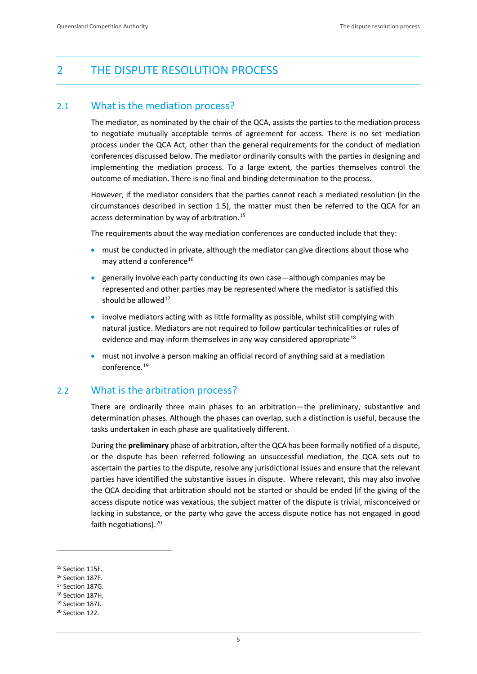# <span id="page-9-0"></span>2 THE DISPUTE RESOLUTION PROCESS

# <span id="page-9-1"></span>2.1 What is the mediation process?

The mediator, as nominated by the chair of the QCA, assists the parties to the mediation process to negotiate mutually acceptable terms of agreement for access. There is no set mediation process under the QCA Act, other than the general requirements for the conduct of mediation conferences discussed below. The mediator ordinarily consults with the parties in designing and implementing the mediation process. To a large extent, the parties themselves control the outcome of mediation. There is no final and binding determination to the process.

However, if the mediator considers that the parties cannot reach a mediated resolution (in the circumstances described in section 1.5), the matter must then be referred to the QCA for an access determination by way of arbitration.<sup>[15](#page-9-3)</sup>

The requirements about the way mediation conferences are conducted include that they:

- must be conducted in private, although the mediator can give directions about those who may attend a conference<sup>[16](#page-9-4)</sup>
- generally involve each party conducting its own case—although companies may be represented and other parties may be represented where the mediator is satisfied this should be allowed $17$
- involve mediators acting with as little formality as possible, whilst still complying with natural justice. Mediators are not required to follow particular technicalities or rules of evidence and may inform themselves in any way considered appropriate $18$
- must not involve a person making an official record of anything said at a mediation conference.[19](#page-9-7)

# <span id="page-9-2"></span>2.2 What is the arbitration process?

There are ordinarily three main phases to an arbitration—the preliminary, substantive and determination phases. Although the phases can overlap, such a distinction is useful, because the tasks undertaken in each phase are qualitatively different.

During the **preliminary** phase of arbitration, after the QCA has been formally notified of a dispute, or the dispute has been referred following an unsuccessful mediation, the QCA sets out to ascertain the parties to the dispute, resolve any jurisdictional issues and ensure that the relevant parties have identified the substantive issues in dispute. Where relevant, this may also involve the QCA deciding that arbitration should not be started or should be ended (if the giving of the access dispute notice was vexatious, the subject matter of the dispute is trivial, misconceived or lacking in substance, or the party who gave the access dispute notice has not engaged in good faith negotiations).<sup>[20](#page-9-8)</sup>

<span id="page-9-3"></span><sup>15</sup> Section 115F.

<span id="page-9-4"></span><sup>16</sup> Section 187F.

<span id="page-9-5"></span><sup>17</sup> Section 187G.

<span id="page-9-6"></span><sup>18</sup> Section 187H.

<span id="page-9-7"></span><sup>19</sup> Section 187J.

<span id="page-9-8"></span><sup>20</sup> Section 122.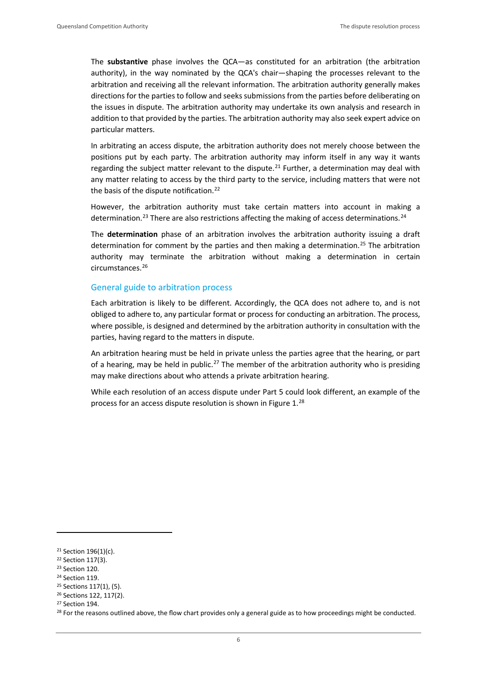The **substantive** phase involves the QCA—as constituted for an arbitration (the arbitration authority), in the way nominated by the QCA's chair—shaping the processes relevant to the arbitration and receiving all the relevant information. The arbitration authority generally makes directions for the parties to follow and seeks submissions from the parties before deliberating on the issues in dispute. The arbitration authority may undertake its own analysis and research in addition to that provided by the parties. The arbitration authority may also seek expert advice on particular matters.

In arbitrating an access dispute, the arbitration authority does not merely choose between the positions put by each party. The arbitration authority may inform itself in any way it wants regarding the subject matter relevant to the dispute.<sup>[21](#page-10-0)</sup> Further, a determination may deal with any matter relating to access by the third party to the service, including matters that were not the basis of the dispute notification.<sup>[22](#page-10-1)</sup>

However, the arbitration authority must take certain matters into account in making a determination.<sup>[23](#page-10-2)</sup> There are also restrictions affecting the making of access determinations.<sup>[24](#page-10-3)</sup>

The **determination** phase of an arbitration involves the arbitration authority issuing a draft determination for comment by the parties and then making a determination.<sup>[25](#page-10-4)</sup> The arbitration authority may terminate the arbitration without making a determination in certain circumstances[.26](#page-10-5)

#### General guide to arbitration process

Each arbitration is likely to be different. Accordingly, the QCA does not adhere to, and is not obliged to adhere to, any particular format or process for conducting an arbitration. The process, where possible, is designed and determined by the arbitration authority in consultation with the parties, having regard to the matters in dispute.

An arbitration hearing must be held in private unless the parties agree that the hearing, or part of a hearing, may be held in public.<sup>[27](#page-10-6)</sup> The member of the arbitration authority who is presiding may make directions about who attends a private arbitration hearing.

While each resolution of an access dispute under Part 5 could look different, an example of the process for an access dispute resolution is shown in Figure 1.[28](#page-10-7)

**.** 

<span id="page-10-0"></span><sup>21</sup> Section 196(1)(c).

<span id="page-10-1"></span><sup>22</sup> Section 117(3).

<span id="page-10-2"></span><sup>23</sup> Section 120.

<span id="page-10-3"></span><sup>24</sup> Section 119.

<span id="page-10-4"></span><sup>25</sup> Sections 117(1), (5).

<span id="page-10-5"></span><sup>26</sup> Sections 122, 117(2).

<span id="page-10-6"></span><sup>27</sup> Section 194.

<span id="page-10-7"></span><sup>&</sup>lt;sup>28</sup> For the reasons outlined above, the flow chart provides only a general guide as to how proceedings might be conducted.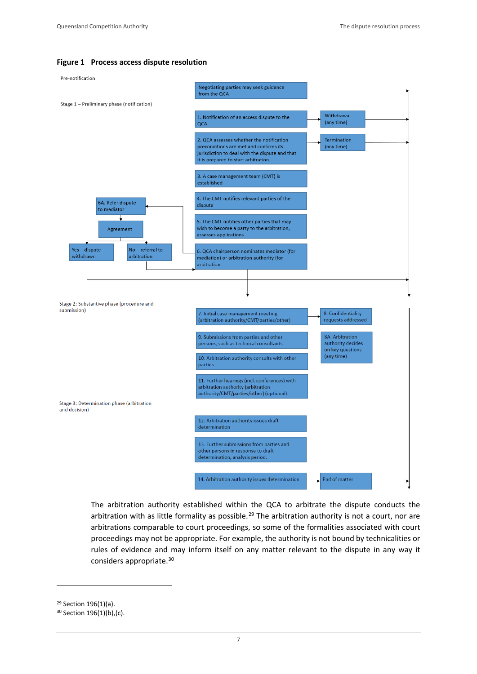#### **Figure 1 Process access dispute resolution**



The arbitration authority established within the QCA to arbitrate the dispute conducts the arbitration with as little formality as possible.<sup>[29](#page-11-0)</sup> The arbitration authority is not a court, nor are arbitrations comparable to court proceedings, so some of the formalities associated with court proceedings may not be appropriate. For example, the authority is not bound by technicalities or rules of evidence and may inform itself on any matter relevant to the dispute in any way it considers appropriate.[30](#page-11-1)

<span id="page-11-0"></span><sup>29</sup> Section 196(1)(a).

<span id="page-11-1"></span><sup>30</sup> Section 196(1)(b),(c).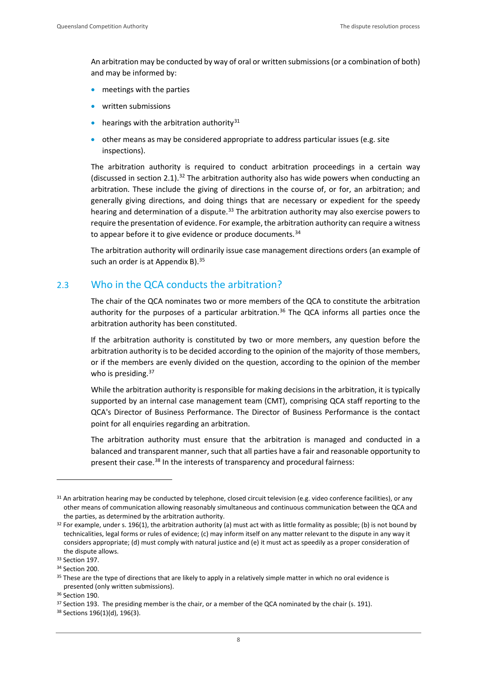An arbitration may be conducted by way of oral or written submissions (or a combination of both) and may be informed by:

- meetings with the parties
- written submissions
- hearings with the arbitration authority $31$
- other means as may be considered appropriate to address particular issues (e.g. site inspections).

The arbitration authority is required to conduct arbitration proceedings in a certain way (discussed in section 2.1).<sup>[32](#page-12-2)</sup> The arbitration authority also has wide powers when conducting an arbitration. These include the giving of directions in the course of, or for, an arbitration; and generally giving directions, and doing things that are necessary or expedient for the speedy hearing and determination of a dispute.<sup>[33](#page-12-3)</sup> The arbitration authority may also exercise powers to require the presentation of evidence. For example, the arbitration authority can require a witness to appear before it to give evidence or produce documents.<sup>[34](#page-12-4)</sup>

The arbitration authority will ordinarily issue case management directions orders (an example of such an order is at Appendix B).  $35$ 

# <span id="page-12-0"></span>2.3 Who in the QCA conducts the arbitration?

The chair of the QCA nominates two or more members of the QCA to constitute the arbitration authority for the purposes of a particular arbitration.<sup>[36](#page-12-6)</sup> The QCA informs all parties once the arbitration authority has been constituted.

If the arbitration authority is constituted by two or more members, any question before the arbitration authority is to be decided according to the opinion of the majority of those members, or if the members are evenly divided on the question, according to the opinion of the member who is presiding. $37$ 

While the arbitration authority is responsible for making decisions in the arbitration, it is typically supported by an internal case management team (CMT), comprising QCA staff reporting to the QCA's Director of Business Performance. The Director of Business Performance is the contact point for all enquiries regarding an arbitration.

The arbitration authority must ensure that the arbitration is managed and conducted in a balanced and transparent manner, such that all parties have a fair and reasonable opportunity to present their case.<sup>[38](#page-12-8)</sup> In the interests of transparency and procedural fairness:

**.** 

<span id="page-12-1"></span><sup>31</sup> An arbitration hearing may be conducted by telephone, closed circuit television (e.g. video conference facilities), or any other means of communication allowing reasonably simultaneous and continuous communication between the QCA and the parties, as determined by the arbitration authority.<br><sup>32</sup> For example, under s. 196(1), the arbitration authority (a) must act with as little formality as possible; (b) is not bound by

<span id="page-12-2"></span>technicalities, legal forms or rules of evidence; (c) may inform itself on any matter relevant to the dispute in any way it considers appropriate; (d) must comply with natural justice and (e) it must act as speedily as a proper consideration of the dispute allows.

<span id="page-12-3"></span><sup>&</sup>lt;sup>33</sup> Section 197.

<span id="page-12-4"></span><sup>34</sup> Section 200.

<span id="page-12-5"></span><sup>&</sup>lt;sup>35</sup> These are the type of directions that are likely to apply in a relatively simple matter in which no oral evidence is presented (only written submissions).

<sup>36</sup> Section 190.

<span id="page-12-7"></span><span id="page-12-6"></span><sup>&</sup>lt;sup>37</sup> Section 193. The presiding member is the chair, or a member of the QCA nominated by the chair (s. 191). <sup>38</sup> Sections 196(1)(d), 196(3).

<span id="page-12-8"></span>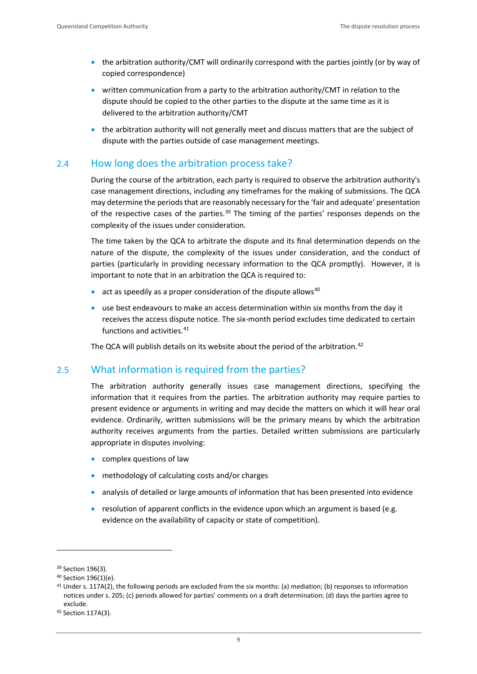- the arbitration authority/CMT will ordinarily correspond with the parties jointly (or by way of copied correspondence)
- written communication from a party to the arbitration authority/CMT in relation to the dispute should be copied to the other parties to the dispute at the same time as it is delivered to the arbitration authority/CMT
- the arbitration authority will not generally meet and discuss matters that are the subject of dispute with the parties outside of case management meetings.

# <span id="page-13-0"></span>2.4 How long does the arbitration process take?

During the course of the arbitration, each party is required to observe the arbitration authority's case management directions, including any timeframes for the making of submissions. The QCA may determine the periods that are reasonably necessary for the 'fair and adequate' presentation of the respective cases of the parties.<sup>[39](#page-13-2)</sup> The timing of the parties' responses depends on the complexity of the issues under consideration.

The time taken by the QCA to arbitrate the dispute and its final determination depends on the nature of the dispute, the complexity of the issues under consideration, and the conduct of parties (particularly in providing necessary information to the QCA promptly). However, it is important to note that in an arbitration the QCA is required to:

- act as speedily as a proper consideration of the dispute allows<sup>40</sup>
- use best endeavours to make an access determination within six months from the day it receives the access dispute notice. The six-month period excludes time dedicated to certain functions and activities.<sup>[41](#page-13-4)</sup>

The QCA will publish details on its website about the period of the arbitration.<sup>[42](#page-13-5)</sup>

# <span id="page-13-1"></span>2.5 What information is required from the parties?

The arbitration authority generally issues case management directions, specifying the information that it requires from the parties. The arbitration authority may require parties to present evidence or arguments in writing and may decide the matters on which it will hear oral evidence. Ordinarily, written submissions will be the primary means by which the arbitration authority receives arguments from the parties. Detailed written submissions are particularly appropriate in disputes involving:

- complex questions of law
- methodology of calculating costs and/or charges
- analysis of detailed or large amounts of information that has been presented into evidence
- resolution of apparent conflicts in the evidence upon which an argument is based (e.g. evidence on the availability of capacity or state of competition).

<span id="page-13-2"></span><sup>39</sup> Section 196(3).

<span id="page-13-3"></span><sup>40</sup> Section 196(1)(e).

<span id="page-13-4"></span><sup>41</sup> Under s. 117A(2), the following periods are excluded from the six months: (a) mediation; (b) responses to information notices under s. 205; (c) periods allowed for parties' comments on a draft determination; (d) days the parties agree to exclude.<br><sup>42</sup> Section 117A(3).

<span id="page-13-5"></span>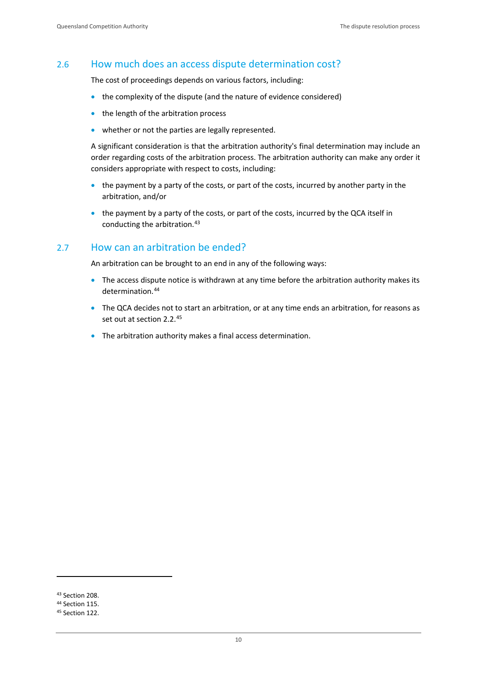#### <span id="page-14-0"></span>2.6 How much does an access dispute determination cost?

The cost of proceedings depends on various factors, including:

- the complexity of the dispute (and the nature of evidence considered)
- the length of the arbitration process
- whether or not the parties are legally represented.

A significant consideration is that the arbitration authority's final determination may include an order regarding costs of the arbitration process. The arbitration authority can make any order it considers appropriate with respect to costs, including:

- the payment by a party of the costs, or part of the costs, incurred by another party in the arbitration, and/or
- the payment by a party of the costs, or part of the costs, incurred by the QCA itself in conducting the arbitration.[43](#page-14-2)

#### <span id="page-14-1"></span>2.7 How can an arbitration be ended?

An arbitration can be brought to an end in any of the following ways:

- The access dispute notice is withdrawn at any time before the arbitration authority makes its determination. [44](#page-14-3)
- The QCA decides not to start an arbitration, or at any time ends an arbitration, for reasons as set out at section 2.2.<sup>[45](#page-14-4)</sup>
- The arbitration authority makes a final access determination.

<span id="page-14-2"></span><sup>43</sup> Section 208.

<span id="page-14-3"></span><sup>44</sup> Section 115.

<span id="page-14-4"></span><sup>45</sup> Section 122.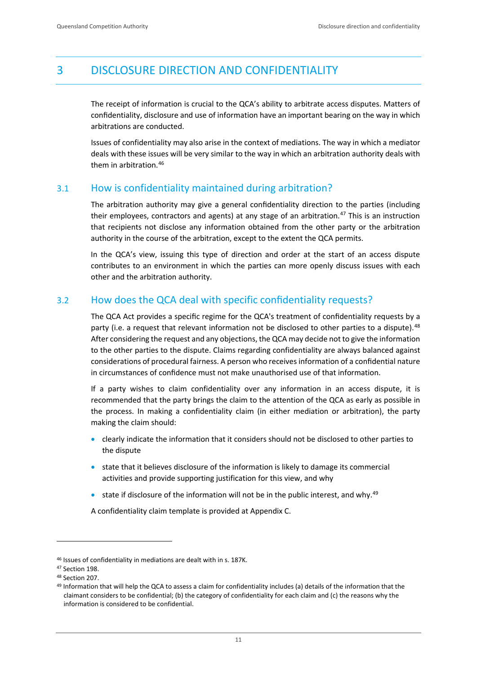# <span id="page-15-0"></span>3 DISCLOSURE DIRECTION AND CONFIDENTIALITY

The receipt of information is crucial to the QCA's ability to arbitrate access disputes. Matters of confidentiality, disclosure and use of information have an important bearing on the way in which arbitrations are conducted.

Issues of confidentiality may also arise in the context of mediations. The way in which a mediator deals with these issues will be very similar to the way in which an arbitration authority deals with them in arbitration.[46](#page-15-3)

# <span id="page-15-1"></span>3.1 How is confidentiality maintained during arbitration?

The arbitration authority may give a general confidentiality direction to the parties (including their employees, contractors and agents) at any stage of an arbitration.<sup>[47](#page-15-4)</sup> This is an instruction that recipients not disclose any information obtained from the other party or the arbitration authority in the course of the arbitration, except to the extent the QCA permits.

In the QCA's view, issuing this type of direction and order at the start of an access dispute contributes to an environment in which the parties can more openly discuss issues with each other and the arbitration authority.

# <span id="page-15-2"></span>3.2 How does the QCA deal with specific confidentiality requests?

The QCA Act provides a specific regime for the QCA's treatment of confidentiality requests by a party (i.e. a request that relevant information not be disclosed to other parties to a dispute).<sup>[48](#page-15-5)</sup> After considering the request and any objections, the QCA may decide not to give the information to the other parties to the dispute. Claims regarding confidentiality are always balanced against considerations of procedural fairness. A person who receives information of a confidential nature in circumstances of confidence must not make unauthorised use of that information.

If a party wishes to claim confidentiality over any information in an access dispute, it is recommended that the party brings the claim to the attention of the QCA as early as possible in the process. In making a confidentiality claim (in either mediation or arbitration), the party making the claim should:

- clearly indicate the information that it considers should not be disclosed to other parties to the dispute
- state that it believes disclosure of the information is likely to damage its commercial activities and provide supporting justification for this view, and why
- state if disclosure of the information will not be in the public interest, and why.<sup>[49](#page-15-6)</sup>

A confidentiality claim template is provided at Appendix C.

<span id="page-15-3"></span><sup>46</sup> Issues of confidentiality in mediations are dealt with in s. 187K.

<span id="page-15-4"></span><sup>47</sup> Section 198.

<span id="page-15-5"></span><sup>48</sup> Section 207.

<span id="page-15-6"></span><sup>49</sup> Information that will help the QCA to assess a claim for confidentiality includes (a) details of the information that the claimant considers to be confidential; (b) the category of confidentiality for each claim and (c) the reasons why the information is considered to be confidential.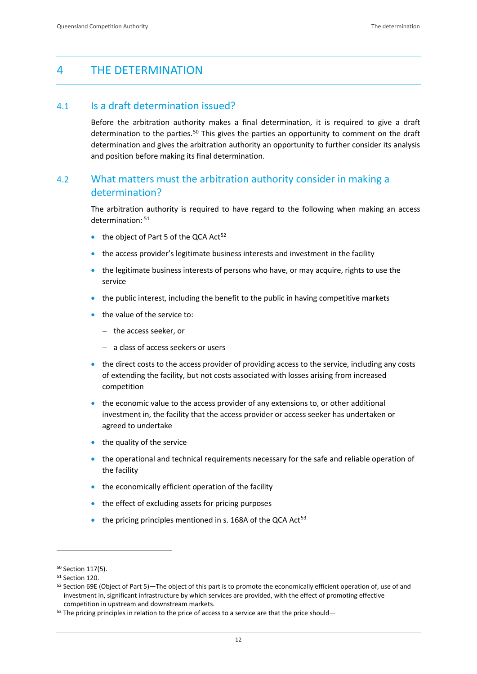# <span id="page-16-0"></span>4 THE DETERMINATION

#### <span id="page-16-1"></span>4.1 Is a draft determination issued?

Before the arbitration authority makes a final determination, it is required to give a draft determination to the parties.<sup>[50](#page-16-3)</sup> This gives the parties an opportunity to comment on the draft determination and gives the arbitration authority an opportunity to further consider its analysis and position before making its final determination.

# <span id="page-16-2"></span>4.2 What matters must the arbitration authority consider in making a determination?

The arbitration authority is required to have regard to the following when making an access determination: [51](#page-16-4)

- $\bullet$  the object of Part 5 of the QCA Act<sup>[52](#page-16-5)</sup>
- the access provider's legitimate business interests and investment in the facility
- the legitimate business interests of persons who have, or may acquire, rights to use the service
- the public interest, including the benefit to the public in having competitive markets
- the value of the service to:
	- − the access seeker, or
	- − a class of access seekers or users
- the direct costs to the access provider of providing access to the service, including any costs of extending the facility, but not costs associated with losses arising from increased competition
- the economic value to the access provider of any extensions to, or other additional investment in, the facility that the access provider or access seeker has undertaken or agreed to undertake
- the quality of the service
- the operational and technical requirements necessary for the safe and reliable operation of the facility
- the economically efficient operation of the facility
- the effect of excluding assets for pricing purposes
- $\bullet$  the pricing principles mentioned in s. 168A of the QCA Act<sup>[53](#page-16-6)</sup>

<span id="page-16-3"></span><sup>50</sup> Section 117(5).

<span id="page-16-4"></span><sup>51</sup> Section 120.

<span id="page-16-5"></span><sup>52</sup> Section 69E (Object of [Part](https://www.legislation.qld.gov.au/view/whole/html/inforce/current/act-1997-025#pt.5) 5)—The object of this part is to promote the economically efficient operation of, use of and investment in, significant infrastructure by which services are provided, with the effect of promoting effective competition in upstream and downstream markets.

<span id="page-16-6"></span><sup>53</sup> The pricing principles in relation to the price of access to a service are that the price should-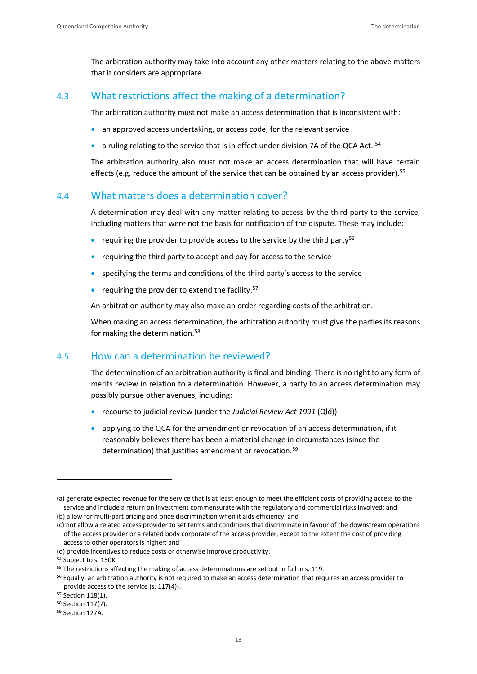The arbitration authority may take into account any other matters relating to the above matters that it considers are appropriate.

# <span id="page-17-0"></span>4.3 What restrictions affect the making of a determination?

The arbitration authority must not make an access determination that is inconsistent with:

- an approved access undertaking, or access code, for the relevant service
- a ruling relating to the service that is in effect under division 7A of the QCA Act.  $54$

The arbitration authority also must not make an access determination that will have certain effects (e.g. reduce the amount of the service that can be obtained by an access provider).<sup>[55](#page-17-4)</sup>

# <span id="page-17-1"></span>4.4 What matters does a determination cover?

A determination may deal with any matter relating to access by the third party to the service, including matters that were not the basis for notification of the dispute. These may include:

- requiring the provider to provide access to the service by the third party<sup>[56](#page-17-5)</sup>
- requiring the third party to accept and pay for access to the service
- specifying the terms and conditions of the third party's access to the service
- requiring the provider to extend the facility. $57$

An arbitration authority may also make an order regarding costs of the arbitration.

When making an access determination, the arbitration authority must give the parties its reasons for making the determination.<sup>[58](#page-17-7)</sup>

# <span id="page-17-2"></span>4.5 How can a determination be reviewed?

The determination of an arbitration authority is final and binding. There is no right to any form of merits review in relation to a determination. However, a party to an access determination may possibly pursue other avenues, including:

- recourse to judicial review (under the *Judicial Review Act 1991* (Qld))
- applying to the QCA for the amendment or revocation of an access determination, if it reasonably believes there has been a material change in circumstances (since the determination) that justifies amendment or revocation.<sup>[59](#page-17-8)</sup>

**.** 

<sup>(</sup>a) generate expected revenue for the service that is at least enough to meet the efficient costs of providing access to the service and include a return on investment commensurate with the regulatory and commercial risks involved; and (b) allow for multi-part pricing and price discrimination when it aids efficiency; and

<sup>(</sup>c) not allow a related access provider to set terms and conditions that discriminate in favour of the downstream operations of the access provider or a related body corporate of the access provider, except to the extent the cost of providing

access to other operators is higher; and

<sup>(</sup>d) provide incentives to reduce costs or otherwise improve productivity.

<span id="page-17-3"></span><sup>54</sup> Subject to s. 150K.

<span id="page-17-4"></span><sup>&</sup>lt;sup>55</sup> The restrictions affecting the making of access determinations are set out in full in s. 119.

<span id="page-17-5"></span><sup>56</sup> Equally, an arbitration authority is not required to make an access determination that requires an access provider to provide access to the service (s. 117(4)).

<span id="page-17-6"></span><sup>57</sup> Section 118(1).

<span id="page-17-7"></span><sup>58</sup> Section 117(7).

<span id="page-17-8"></span><sup>59</sup> Section 127A.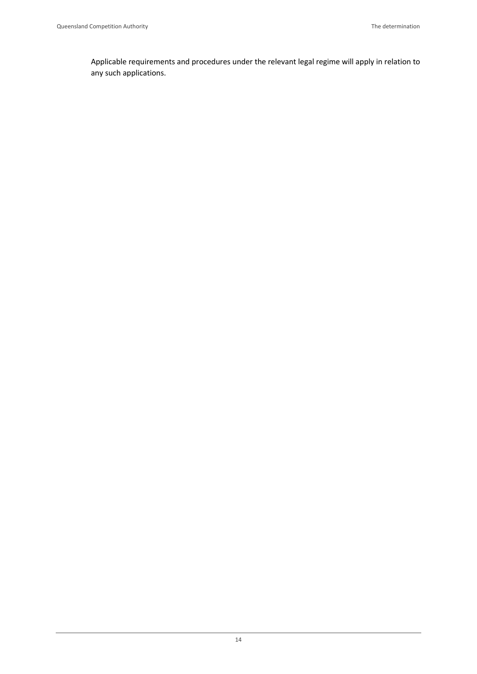Applicable requirements and procedures under the relevant legal regime will apply in relation to any such applications.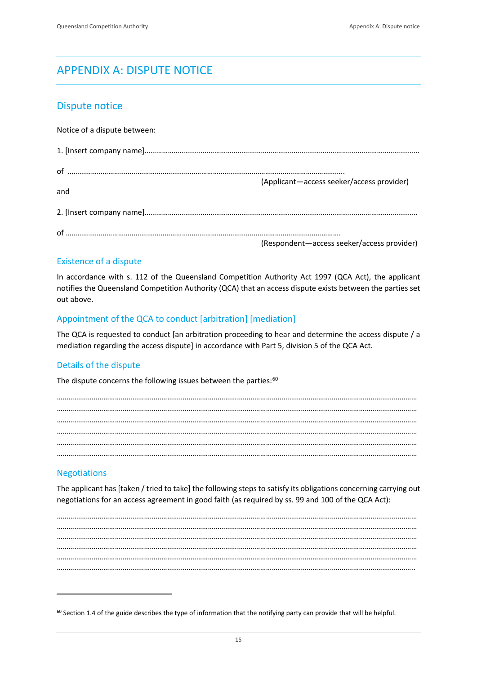# <span id="page-19-0"></span>APPENDIX A: DISPUTE NOTICE

# <span id="page-19-1"></span>Dispute notice

Notice of a dispute between:

|     | (Applicant-access seeker/access provider)  |
|-----|--------------------------------------------|
| and |                                            |
|     |                                            |
|     |                                            |
|     | (Respondent-access seeker/access provider) |

#### Existence of a dispute

In accordance with s. 112 of the Queensland Competition Authority Act 1997 (QCA Act), the applicant notifies the Queensland Competition Authority (QCA) that an access dispute exists between the parties set out above.

#### Appointment of the QCA to conduct [arbitration] [mediation]

The QCA is requested to conduct [an arbitration proceeding to hear and determine the access dispute / a mediation regarding the access dispute] in accordance with Part 5, division 5 of the QCA Act.

#### Details of the dispute

The dispute concerns the following issues between the parties: $60$ 

…………………………………………………………………………………………………………………………………………………………………… …………………………………………………………………………………………………………………………………………………………………… …………………………………………………………………………………………………………………………………………………………………… …………………………………………………………………………………………………………………………………………………………………… …………………………………………………………………………………………………………………………………………………………………… ……………………………………………………………………………………………………………………………………………………………………

# Negotiations

-

The applicant has [taken / tried to take] the following steps to satisfy its obligations concerning carrying out negotiations for an access agreement in good faith (as required by ss. 99 and 100 of the QCA Act):

…………………………………………………………………………………………………………………………………………………………………… …………………………………………………………………………………………………………………………………………………………………… …………………………………………………………………………………………………………………………………………………………………… …………………………………………………………………………………………………………………………………………………………………… …………………………………………………………………………………………………………………………………………………………………… …………………………………………………………………………………………………………………………………………………………………..

<span id="page-19-2"></span> $60$  Section 1.4 of the guide describes the type of information that the notifying party can provide that will be helpful.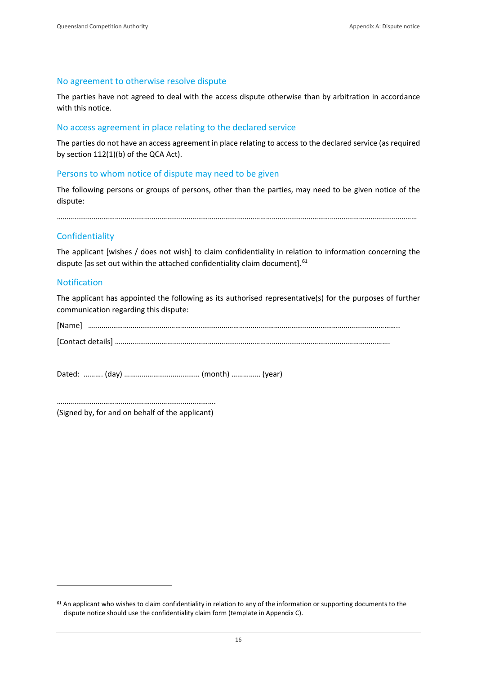#### No agreement to otherwise resolve dispute

The parties have not agreed to deal with the access dispute otherwise than by arbitration in accordance with this notice.

#### No access agreement in place relating to the declared service

The parties do not have an access agreement in place relating to access to the declared service (as required by section 112(1)(b) of the QCA Act).

#### Persons to whom notice of dispute may need to be given

The following persons or groups of persons, other than the parties, may need to be given notice of the dispute:

……………………………………………………………………………………………………………………………………………………………………

#### **Confidentiality**

The applicant [wishes / does not wish] to claim confidentiality in relation to information concerning the dispute [as set out within the attached confidentiality claim document].<sup>[61](#page-20-0)</sup>

#### Notification

-

The applicant has appointed the following as its authorised representative(s) for the purposes of further communication regarding this dispute:

| [Name]            |  |  |  |  |
|-------------------|--|--|--|--|
| [Contact details] |  |  |  |  |

Dated: ………. (day) ………………………………… (month) …………… (year)

……………………………………………………………………….

(Signed by, for and on behalf of the applicant)

<span id="page-20-0"></span> $61$  An applicant who wishes to claim confidentiality in relation to any of the information or supporting documents to the dispute notice should use the confidentiality claim form (template in Appendix C).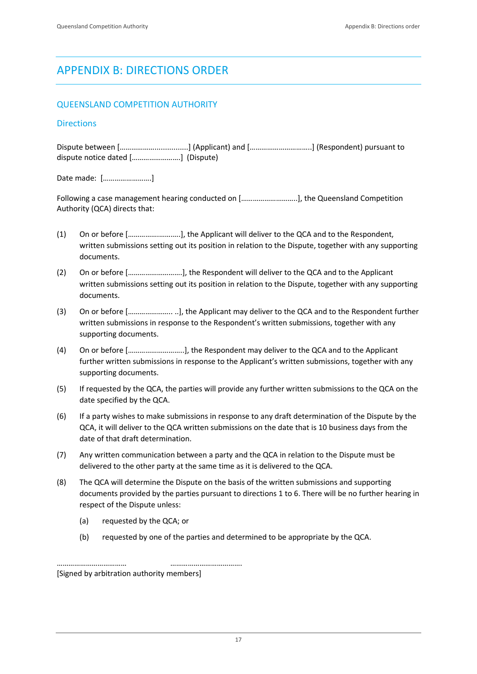# <span id="page-21-0"></span>APPENDIX B: DIRECTIONS ORDER

#### QUEENSLAND COMPETITION AUTHORITY

#### **Directions**

Dispute between [………………................] (Applicant) and […………………………..] (Respondent) pursuant to dispute notice dated […………………….] (Dispute)

Date made: […………………….]

Following a case management hearing conducted on [………………………..], the Queensland Competition Authority (QCA) directs that:

- (1) On or before […………….…….….], the Applicant will deliver to the QCA and to the Respondent, written submissions setting out its position in relation to the Dispute, together with any supporting documents.
- (2) On or before [……………………….], the Respondent will deliver to the QCA and to the Applicant written submissions setting out its position in relation to the Dispute, together with any supporting documents.
- (3) On or before [………………….. ..], the Applicant may deliver to the QCA and to the Respondent further written submissions in response to the Respondent's written submissions, together with any supporting documents.
- (4) On or before [………………………..], the Respondent may deliver to the QCA and to the Applicant further written submissions in response to the Applicant's written submissions, together with any supporting documents.
- (5) If requested by the QCA, the parties will provide any further written submissions to the QCA on the date specified by the QCA.
- (6) If a party wishes to make submissions in response to any draft determination of the Dispute by the QCA, it will deliver to the QCA written submissions on the date that is 10 business days from the date of that draft determination.
- (7) Any written communication between a party and the QCA in relation to the Dispute must be delivered to the other party at the same time as it is delivered to the QCA.
- (8) The QCA will determine the Dispute on the basis of the written submissions and supporting documents provided by the parties pursuant to directions 1 to 6. There will be no further hearing in respect of the Dispute unless:
	- (a) requested by the QCA; or
	- (b) requested by one of the parties and determined to be appropriate by the QCA.

……………………………… ………………………………. [Signed by arbitration authority members]